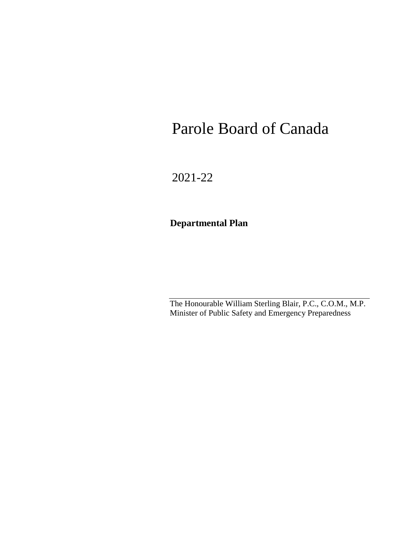# Parole Board of Canada

2021-22

# **Departmental Plan**

The Honourable William Sterling Blair, P.C., C.O.M., M.P. Minister of Public Safety and Emergency Preparedness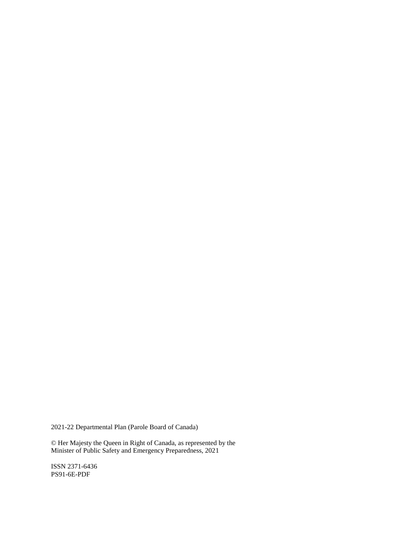2021-22 Departmental Plan (Parole Board of Canada)

© Her Majesty the Queen in Right of Canada, as represented by the Minister of Public Safety and Emergency Preparedness, 2021

ISSN 2371-6436 PS91-6E-PDF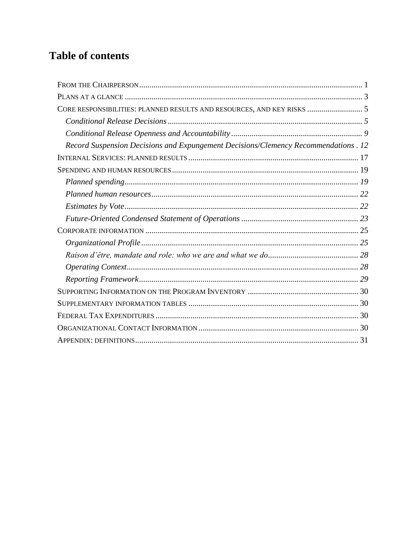# **Table of contents**

| CORE RESPONSIBILITIES: PLANNED RESULTS AND RESOURCES, AND KEY RISKS  5             |
|------------------------------------------------------------------------------------|
|                                                                                    |
|                                                                                    |
| Record Suspension Decisions and Expungement Decisions/Clemency Recommendations. 12 |
|                                                                                    |
|                                                                                    |
|                                                                                    |
|                                                                                    |
|                                                                                    |
|                                                                                    |
|                                                                                    |
|                                                                                    |
|                                                                                    |
|                                                                                    |
|                                                                                    |
|                                                                                    |
|                                                                                    |
|                                                                                    |
|                                                                                    |
|                                                                                    |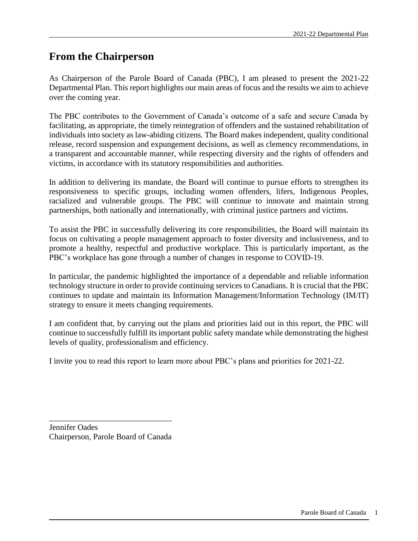# <span id="page-4-0"></span>**From the Chairperson**

As Chairperson of the Parole Board of Canada (PBC), I am pleased to present the 2021-22 Departmental Plan. This report highlights our main areas of focus and the results we aim to achieve over the coming year.

The PBC contributes to the Government of Canada's outcome of a safe and secure Canada by facilitating, as appropriate, the timely reintegration of offenders and the sustained rehabilitation of individuals into society as law-abiding citizens. The Board makes independent, quality conditional release, record suspension and expungement decisions, as well as clemency recommendations, in a transparent and accountable manner, while respecting diversity and the rights of offenders and victims, in accordance with its statutory responsibilities and authorities.

In addition to delivering its mandate, the Board will continue to pursue efforts to strengthen its responsiveness to specific groups, including women offenders, lifers, Indigenous Peoples, racialized and vulnerable groups. The PBC will continue to innovate and maintain strong partnerships, both nationally and internationally, with criminal justice partners and victims.

To assist the PBC in successfully delivering its core responsibilities, the Board will maintain its focus on cultivating a people management approach to foster diversity and inclusiveness, and to promote a healthy, respectful and productive workplace. This is particularly important, as the PBC's workplace has gone through a number of changes in response to COVID-19.

In particular, the pandemic highlighted the importance of a dependable and reliable information technology structure in order to provide continuing services to Canadians. It is crucial that the PBC continues to update and maintain its Information Management/Information Technology (IM/IT) strategy to ensure it meets changing requirements.

I am confident that, by carrying out the plans and priorities laid out in this report, the PBC will continue to successfully fulfill its important public safety mandate while demonstrating the highest levels of quality, professionalism and efficiency.

I invite you to read this report to learn more about PBC's plans and priorities for 2021-22.

Jennifer Oades Chairperson, Parole Board of Canada

\_\_\_\_\_\_\_\_\_\_\_\_\_\_\_\_\_\_\_\_\_\_\_\_\_\_\_\_\_\_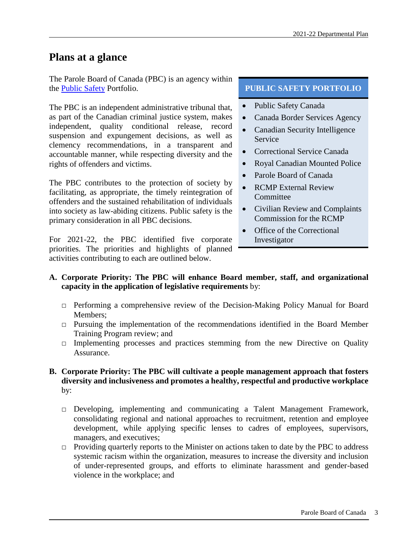# <span id="page-6-0"></span>**Plans at a glance**

The Parole Board of Canada (PBC) is an agency within the [Public Safety](http://www.publicsafety.gc.ca/index-eng.aspx) Portfolio.

The PBC is an independent administrative tribunal that, as part of the Canadian criminal justice system, makes independent, quality conditional release, record suspension and expungement decisions, as well as clemency recommendations, in a transparent and accountable manner, while respecting diversity and the rights of offenders and victims.

The PBC contributes to the protection of society by facilitating, as appropriate, the timely reintegration of offenders and the sustained rehabilitation of individuals into society as law-abiding citizens. Public safety is the primary consideration in all PBC decisions.

For 2021-22, the PBC identified five corporate priorities. The priorities and highlights of planned activities contributing to each are outlined below.

#### **PUBLIC SAFETY PORTFOLIO**

- Public Safety Canada
- Canada Border Services Agency
- Canadian Security Intelligence Service
- Correctional Service Canada
- Royal Canadian Mounted Police
- Parole Board of Canada
- RCMP External Review **Committee**
- Civilian Review and Complaints Commission for the RCMP
- Office of the Correctional Investigator

#### **A. Corporate Priority: The PBC will enhance Board member, staff, and organizational capacity in the application of legislative requirements** by:

- □ Performing a comprehensive review of the Decision-Making Policy Manual for Board Members;
- □ Pursuing the implementation of the recommendations identified in the Board Member Training Program review; and
- $\Box$  Implementing processes and practices stemming from the new Directive on Quality Assurance.

#### **B. Corporate Priority: The PBC will cultivate a people management approach that fosters diversity and inclusiveness and promotes a healthy, respectful and productive workplace** by:

- □ Developing, implementing and communicating a Talent Management Framework, consolidating regional and national approaches to recruitment, retention and employee development, while applying specific lenses to cadres of employees, supervisors, managers, and executives;
- □ Providing quarterly reports to the Minister on actions taken to date by the PBC to address systemic racism within the organization, measures to increase the diversity and inclusion of under-represented groups, and efforts to eliminate harassment and gender-based violence in the workplace; and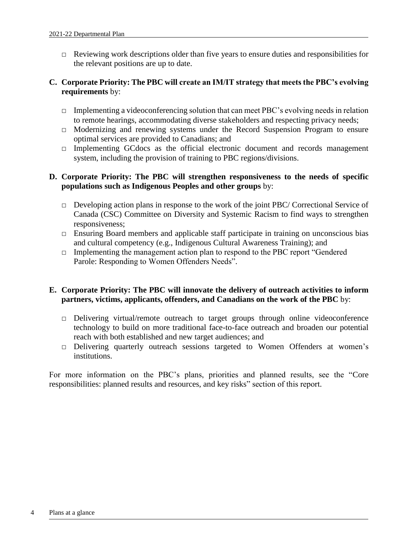$\Box$  Reviewing work descriptions older than five years to ensure duties and responsibilities for the relevant positions are up to date.

#### **C. Corporate Priority: The PBC will create an IM/IT strategy that meets the PBC's evolving requirements** by:

- $\Box$  Implementing a videoconferencing solution that can meet PBC's evolving needs in relation to remote hearings, accommodating diverse stakeholders and respecting privacy needs;
- □ Modernizing and renewing systems under the Record Suspension Program to ensure optimal services are provided to Canadians; and
- $\Box$  Implementing GCdocs as the official electronic document and records management system, including the provision of training to PBC regions/divisions.

#### **D. Corporate Priority: The PBC will strengthen responsiveness to the needs of specific populations such as Indigenous Peoples and other groups** by:

- □ Developing action plans in response to the work of the joint PBC/ Correctional Service of Canada (CSC) Committee on Diversity and Systemic Racism to find ways to strengthen responsiveness;
- $\Box$  Ensuring Board members and applicable staff participate in training on unconscious bias and cultural competency (e.g., Indigenous Cultural Awareness Training); and
- $\Box$  Implementing the management action plan to respond to the PBC report "Gendered" Parole: Responding to Women Offenders Needs".

#### **E. Corporate Priority: The PBC will innovate the delivery of outreach activities to inform partners, victims, applicants, offenders, and Canadians on the work of the PBC** by:

- □ Delivering virtual/remote outreach to target groups through online videoconference technology to build on more traditional face-to-face outreach and broaden our potential reach with both established and new target audiences; and
- □ Delivering quarterly outreach sessions targeted to Women Offenders at women's institutions.

For more information on the PBC's plans, priorities and planned results, see the "Core responsibilities: planned results and resources, and key risks" section of this report.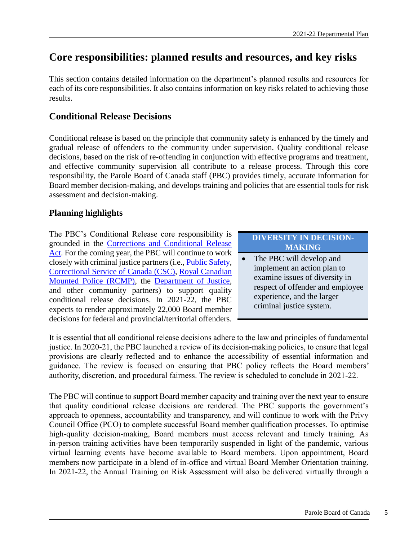# <span id="page-8-0"></span>**Core responsibilities: planned results and resources, and key risks**

This section contains detailed information on the department's planned results and resources for each of its core responsibilities. It also contains information on key risks related to achieving those results.

### <span id="page-8-1"></span>**Conditional Release Decisions**

Conditional release is based on the principle that community safety is enhanced by the timely and gradual release of offenders to the community under supervision. Quality conditional release decisions, based on the risk of re-offending in conjunction with effective programs and treatment, and effective community supervision all contribute to a release process. Through this core responsibility, the Parole Board of Canada staff (PBC) provides timely, accurate information for Board member decision-making, and develops training and policies that are essential tools for risk assessment and decision-making.

### **Planning highlights**

The PBC's Conditional Release core responsibility is grounded in the [Corrections and Conditional Release](http://laws-lois.justice.gc.ca/eng/acts/C-44.6/page-1.html)  [Act.](http://laws-lois.justice.gc.ca/eng/acts/C-44.6/page-1.html) For the coming year, the PBC will continue to work closely with criminal justice partners (i.e., [Public Safety,](https://www.publicsafety.gc.ca/index-en.aspx) [Correctional Service of Canada](http://www.csc-scc.gc.ca/index-eng.shtml) (CSC), [Royal Canadian](http://www.rcmp-grc.gc.ca/en/home)  [Mounted Police \(RCMP\),](http://www.rcmp-grc.gc.ca/en/home) the [Department of Justice,](http://www.justice.gc.ca/eng/) and other community partners) to support quality conditional release decisions. In 2021-22, the PBC expects to render approximately 22,000 Board member decisions for federal and provincial/territorial offenders.

#### **DIVERSITY IN DECISION-MAKING**

 The PBC will develop and implement an action plan to examine issues of diversity in respect of offender and employee experience, and the larger criminal justice system.

It is essential that all conditional release decisions adhere to the law and principles of fundamental justice. In 2020-21, the PBC launched a review of its decision-making policies, to ensure that legal provisions are clearly reflected and to enhance the accessibility of essential information and guidance. The review is focused on ensuring that PBC policy reflects the Board members' authority, discretion, and procedural fairness. The review is scheduled to conclude in 2021-22.

The PBC will continue to support Board member capacity and training over the next year to ensure that quality conditional release decisions are rendered. The PBC supports the government's approach to openness, accountability and transparency, and will continue to work with the Privy Council Office (PCO) to complete successful Board member qualification processes. To optimise high-quality decision-making, Board members must access relevant and timely training. As in-person training activities have been temporarily suspended in light of the pandemic, various virtual learning events have become available to Board members. Upon appointment, Board members now participate in a blend of in-office and virtual Board Member Orientation training. In 2021-22, the Annual Training on Risk Assessment will also be delivered virtually through a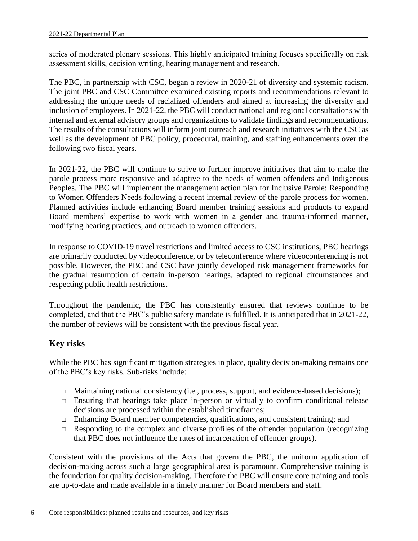series of moderated plenary sessions. This highly anticipated training focuses specifically on risk assessment skills, decision writing, hearing management and research.

The PBC, in partnership with CSC, began a review in 2020-21 of diversity and systemic racism. The joint PBC and CSC Committee examined existing reports and recommendations relevant to addressing the unique needs of racialized offenders and aimed at increasing the diversity and inclusion of employees. In 2021-22, the PBC will conduct national and regional consultations with internal and external advisory groups and organizations to validate findings and recommendations. The results of the consultations will inform joint outreach and research initiatives with the CSC as well as the development of PBC policy, procedural, training, and staffing enhancements over the following two fiscal years.

In 2021-22, the PBC will continue to strive to further improve initiatives that aim to make the parole process more responsive and adaptive to the needs of women offenders and Indigenous Peoples. The PBC will implement the management action plan for Inclusive Parole: Responding to Women Offenders Needs following a recent internal review of the parole process for women. Planned activities include enhancing Board member training sessions and products to expand Board members' expertise to work with women in a gender and trauma-informed manner, modifying hearing practices, and outreach to women offenders.

In response to COVID-19 travel restrictions and limited access to CSC institutions, PBC hearings are primarily conducted by videoconference, or by teleconference where videoconferencing is not possible. However, the PBC and CSC have jointly developed risk management frameworks for the gradual resumption of certain in-person hearings, adapted to regional circumstances and respecting public health restrictions.

Throughout the pandemic, the PBC has consistently ensured that reviews continue to be completed, and that the PBC's public safety mandate is fulfilled. It is anticipated that in 2021-22, the number of reviews will be consistent with the previous fiscal year.

### **Key risks**

While the PBC has significant mitigation strategies in place, quality decision-making remains one of the PBC's key risks. Sub-risks include:

- □ Maintaining national consistency (i.e., process, support, and evidence-based decisions);
- □ Ensuring that hearings take place in-person or virtually to confirm conditional release decisions are processed within the established timeframes;
- □ Enhancing Board member competencies, qualifications, and consistent training; and
- $\Box$  Responding to the complex and diverse profiles of the offender population (recognizing that PBC does not influence the rates of incarceration of offender groups).

Consistent with the provisions of the Acts that govern the PBC, the uniform application of decision-making across such a large geographical area is paramount. Comprehensive training is the foundation for quality decision-making. Therefore the PBC will ensure core training and tools are up-to-date and made available in a timely manner for Board members and staff.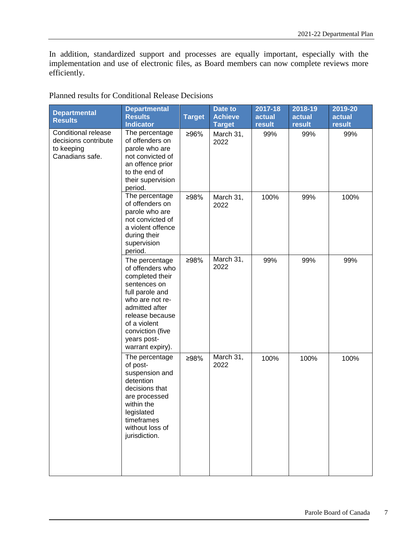In addition, standardized support and processes are equally important, especially with the implementation and use of electronic files, as Board members can now complete reviews more efficiently.

| <b>Departmental</b><br><b>Results</b>                                        | <b>Departmental</b><br><b>Results</b><br><b>Indicator</b>                                                                                                                                                               | <b>Target</b> | Date to<br><b>Achieve</b><br><b>Target</b> | 2017-18<br>actual<br>result | 2018-19<br>actual<br>result | 2019-20<br>actual<br>result |
|------------------------------------------------------------------------------|-------------------------------------------------------------------------------------------------------------------------------------------------------------------------------------------------------------------------|---------------|--------------------------------------------|-----------------------------|-----------------------------|-----------------------------|
| Conditional release<br>decisions contribute<br>to keeping<br>Canadians safe. | The percentage<br>of offenders on<br>parole who are<br>not convicted of<br>an offence prior<br>to the end of<br>their supervision<br>period.                                                                            | ≥96%          | March 31,<br>2022                          | 99%                         | 99%                         | 99%                         |
|                                                                              | The percentage<br>of offenders on<br>parole who are<br>not convicted of<br>a violent offence<br>during their<br>supervision<br>period.                                                                                  | ≥98%          | March 31,<br>2022                          | 100%                        | 99%                         | 100%                        |
|                                                                              | The percentage<br>of offenders who<br>completed their<br>sentences on<br>full parole and<br>who are not re-<br>admitted after<br>release because<br>of a violent<br>conviction (five<br>years post-<br>warrant expiry). | ≥98%          | March 31,<br>2022                          | 99%                         | 99%                         | 99%                         |
|                                                                              | The percentage<br>of post-<br>suspension and<br>detention<br>decisions that<br>are processed<br>within the<br>legislated<br>timeframes<br>without loss of<br>jurisdiction.                                              | ≥98%          | March 31,<br>2022                          | 100%                        | 100%                        | 100%                        |

Planned results for Conditional Release Decisions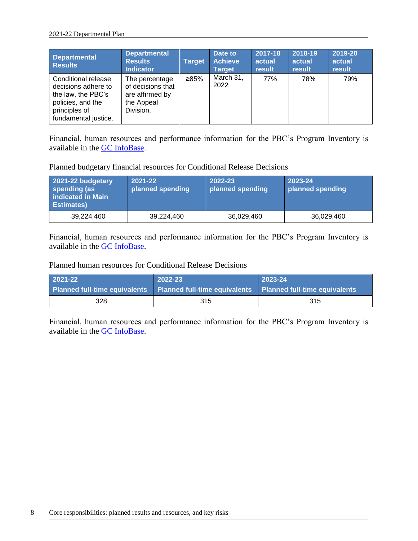| <b>Departmental</b><br><b>Results</b>                                                                                          | <b>Departmental</b><br><b>Results</b><br><b>Indicator</b>                         | <b>Target</b> | Date to<br><b>Achieve</b><br><b>Target</b> | 2017-18<br>actual<br>result | 2018-19<br>actual<br>result | 2019-20<br>actual<br>result |
|--------------------------------------------------------------------------------------------------------------------------------|-----------------------------------------------------------------------------------|---------------|--------------------------------------------|-----------------------------|-----------------------------|-----------------------------|
| Conditional release<br>decisions adhere to<br>the law, the PBC's<br>policies, and the<br>principles of<br>fundamental justice. | The percentage<br>of decisions that<br>are affirmed by<br>the Appeal<br>Division. | ≥85%          | March 31,<br>2022                          | 77%                         | 78%                         | 79%                         |

Financial, human resources and performance information for the PBC's Program Inventory is available in the [GC InfoBase.](https://www.tbs-sct.gc.ca/ems-sgd/edb-bdd/index-eng.html#start)

Planned budgetary financial resources for Conditional Release Decisions

| 2021-22 budgetary<br>spending (as<br>indicated in Main<br><b>Estimates</b> ) | 2021-22<br>planned spending | 2022-23<br>planned spending | 2023-24<br>planned spending |
|------------------------------------------------------------------------------|-----------------------------|-----------------------------|-----------------------------|
| 39.224.460                                                                   | 39,224,460                  | 36,029,460                  | 36,029,460                  |

Financial, human resources and performance information for the PBC's Program Inventory is available in the [GC InfoBase.](https://www.tbs-sct.gc.ca/ems-sgd/edb-bdd/index-eng.html#start)

Planned human resources for Conditional Release Decisions

| 2021-22 | 2022-23                                                                                   | 2023-24 |
|---------|-------------------------------------------------------------------------------------------|---------|
|         | Planned full-time equivalents Planned full-time equivalents Planned full-time equivalents |         |
| 328     | 315                                                                                       | -315    |

Financial, human resources and performance information for the PBC's Program Inventory is available in the [GC InfoBase.](https://www.tbs-sct.gc.ca/ems-sgd/edb-bdd/index-eng.html#start)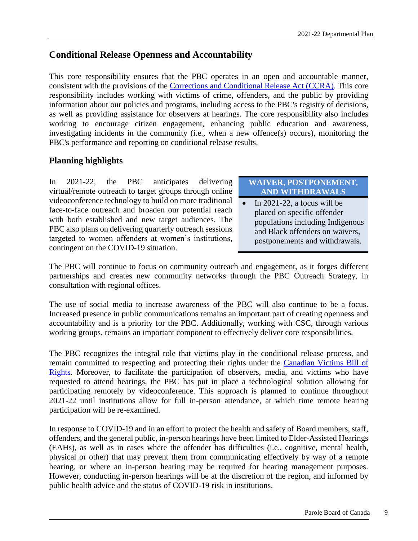## <span id="page-12-0"></span>**Conditional Release Openness and Accountability**

This core responsibility ensures that the PBC operates in an open and accountable manner, consistent with the provisions of the [Corrections and Conditional Release Act](http://laws-lois.justice.gc.ca/eng/acts/C-44.6/page-1.html) (CCRA). This core responsibility includes working with victims of crime, offenders, and the public by providing information about our policies and programs, including access to the PBC's registry of decisions, as well as providing assistance for observers at hearings. The core responsibility also includes working to encourage citizen engagement, enhancing public education and awareness, investigating incidents in the community (i.e., when a new offence(s) occurs), monitoring the PBC's performance and reporting on conditional release results.

### **Planning highlights**

In 2021-22, the PBC anticipates delivering virtual/remote outreach to target groups through online videoconference technology to build on more traditional face-to-face outreach and broaden our potential reach with both established and new target audiences. The PBC also plans on delivering quarterly outreach sessions targeted to women offenders at women's institutions, contingent on the COVID-19 situation.

### **WAIVER, POSTPONEMENT, AND WITHDRAWALS**

 $\bullet$  In 2021-22, a focus will be placed on specific offender populations including Indigenous and Black offenders on waivers, postponements and withdrawals.

The PBC will continue to focus on community outreach and engagement, as it forges different partnerships and creates new community networks through the PBC Outreach Strategy, in consultation with regional offices.

The use of social media to increase awareness of the PBC will also continue to be a focus. Increased presence in public communications remains an important part of creating openness and accountability and is a priority for the PBC. Additionally, working with CSC, through various working groups, remains an important component to effectively deliver core responsibilities.

The PBC recognizes the integral role that victims play in the conditional release process, and remain committed to respecting and protecting their rights under the [Canadian Victims Bill of](https://laws-lois.justice.gc.ca/eng/acts/C-23.7/page-1.html)  [Rights.](https://laws-lois.justice.gc.ca/eng/acts/C-23.7/page-1.html) Moreover, to facilitate the participation of observers, media, and victims who have requested to attend hearings, the PBC has put in place a technological solution allowing for participating remotely by videoconference. This approach is planned to continue throughout 2021-22 until institutions allow for full in-person attendance, at which time remote hearing participation will be re-examined.

In response to COVID-19 and in an effort to protect the health and safety of Board members, staff, offenders, and the general public, in-person hearings have been limited to Elder-Assisted Hearings (EAHs), as well as in cases where the offender has difficulties (i.e., cognitive, mental health, physical or other) that may prevent them from communicating effectively by way of a remote hearing, or where an in-person hearing may be required for hearing management purposes. However, conducting in-person hearings will be at the discretion of the region, and informed by public health advice and the status of COVID-19 risk in institutions.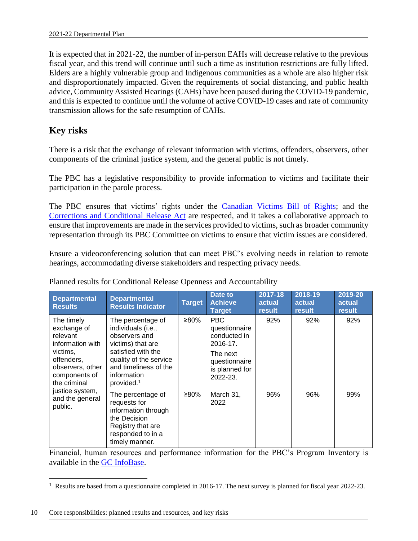It is expected that in 2021-22, the number of in-person EAHs will decrease relative to the previous fiscal year, and this trend will continue until such a time as institution restrictions are fully lifted. Elders are a highly vulnerable group and Indigenous communities as a whole are also higher risk and disproportionately impacted. Given the requirements of social distancing, and public health advice, Community Assisted Hearings (CAHs) have been paused during the COVID-19 pandemic, and this is expected to continue until the volume of active COVID-19 cases and rate of community transmission allows for the safe resumption of CAHs.

## **Key risks**

There is a risk that the exchange of relevant information with victims, offenders, observers, other components of the criminal justice system, and the general public is not timely.

The PBC has a legislative responsibility to provide information to victims and facilitate their participation in the parole process.

The PBC ensures that victims' rights under the [Canadian Victims Bill of Rights;](https://laws-lois.justice.gc.ca/eng/acts/C-23.7/page-1.html) and the [Corrections and Conditional Release Act](http://laws-lois.justice.gc.ca/eng/acts/C-44.6/page-1.html) are respected, and it takes a collaborative approach to ensure that improvements are made in the services provided to victims, such as broader community representation through its PBC Committee on victims to ensure that victim issues are considered.

Ensure a videoconferencing solution that can meet PBC's evolving needs in relation to remote hearings, accommodating diverse stakeholders and respecting privacy needs.

| <b>Departmental</b><br><b>Results</b>                                                                                                    | <b>Departmental</b><br><b>Results Indicator</b>                                                                                                                                                 | <b>Target</b> | Date to<br><b>Achieve</b><br>Target                                                                                | 2017-18<br>actual<br>result | 2018-19<br>actual<br>result | 2019-20<br>actual<br>result |
|------------------------------------------------------------------------------------------------------------------------------------------|-------------------------------------------------------------------------------------------------------------------------------------------------------------------------------------------------|---------------|--------------------------------------------------------------------------------------------------------------------|-----------------------------|-----------------------------|-----------------------------|
| The timely<br>exchange of<br>relevant<br>information with<br>victims,<br>offenders,<br>observers, other<br>components of<br>the criminal | The percentage of<br>individuals (i.e.,<br>observers and<br>victims) that are<br>satisfied with the<br>quality of the service<br>and timeliness of the<br>information<br>provided. <sup>1</sup> | ≥80%          | <b>PBC</b><br>questionnaire<br>conducted in<br>2016-17.<br>The next<br>questionnaire<br>is planned for<br>2022-23. | 92%                         | 92%                         | 92%                         |
| justice system,<br>and the general<br>public.                                                                                            | The percentage of<br>requests for<br>information through<br>the Decision<br>Registry that are<br>responded to in a<br>timely manner.                                                            | ≥80%          | March 31,<br>2022                                                                                                  | 96%                         | 96%                         | 99%                         |

Planned results for Conditional Release Openness and Accountability

Financial, human resources and performance information for the PBC's Program Inventory is available in the [GC InfoBase.](https://www.tbs-sct.gc.ca/ems-sgd/edb-bdd/index-eng.html#start)

 $\overline{a}$ <sup>1</sup> Results are based from a questionnaire completed in 2016-17. The next survey is planned for fiscal year 2022-23.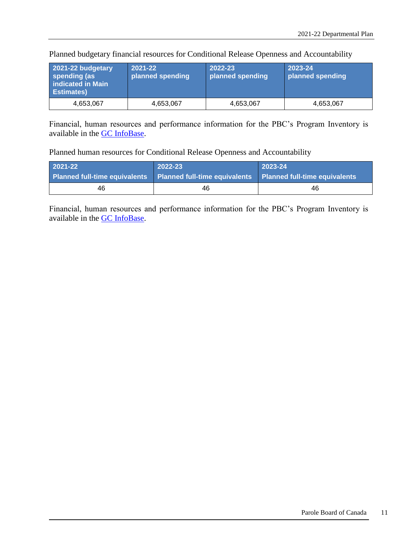| 2021-22 budgetary<br>spending (as<br>indicated in Main<br><b>Estimates</b> ) | $2021 - 22$<br>planned spending | 2022-23<br>planned spending | 2023-24<br>planned spending |
|------------------------------------------------------------------------------|---------------------------------|-----------------------------|-----------------------------|
| 4,653,067                                                                    | 4,653,067                       | 4,653,067                   | 4,653,067                   |

Planned budgetary financial resources for Conditional Release Openness and Accountability

Financial, human resources and performance information for the PBC's Program Inventory is available in the [GC InfoBase.](https://www.tbs-sct.gc.ca/ems-sgd/edb-bdd/index-eng.html#start)

Planned human resources for Conditional Release Openness and Accountability

| 2021-22                                                                                   | 2022-23 | $2023 - 24$ |
|-------------------------------------------------------------------------------------------|---------|-------------|
| Planned full-time equivalents Planned full-time equivalents Planned full-time equivalents |         |             |
| 46                                                                                        | 46      | 46          |

Financial, human resources and performance information for the PBC's Program Inventory is available in the [GC InfoBase.](https://www.tbs-sct.gc.ca/ems-sgd/edb-bdd/index-eng.html#start)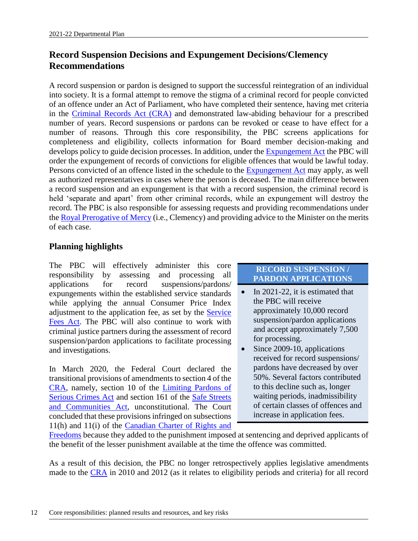# <span id="page-15-0"></span>**Record Suspension Decisions and Expungement Decisions/Clemency Recommendations**

A record suspension or pardon is designed to support the successful reintegration of an individual into society. It is a formal attempt to remove the stigma of a criminal record for people convicted of an offence under an Act of Parliament, who have completed their sentence, having met criteria in the [Criminal Records Act](https://laws-lois.justice.gc.ca/eng/acts/C-47/page-1.html) (CRA) and demonstrated law-abiding behaviour for a prescribed number of years. Record suspensions or pardons can be revoked or cease to have effect for a number of reasons. Through this core responsibility, the PBC screens applications for completeness and eligibility, collects information for Board member decision-making and develops policy to guide decision processes. In addition, under the [Expungement Act](https://laws-lois.justice.gc.ca/eng/acts/E-21.5/page-1.html) the PBC will order the expungement of records of convictions for eligible offences that would be lawful today. Persons convicted of an offence listed in the schedule to the [Expungement Act](https://laws-lois.justice.gc.ca/eng/acts/E-21.5/page-1.html) may apply, as well as authorized representatives in cases where the person is deceased. The main difference between a record suspension and an expungement is that with a record suspension, the criminal record is held 'separate and apart' from other criminal records, while an expungement will destroy the record. The PBC is also responsible for assessing requests and providing recommendations under the [Royal Prerogative of Mercy](https://www.canada.ca/en/parole-board/services/clemency/what-is-the-exercise-of-clemency-royal-prerogative-of-mercy.html) (i.e., Clemency) and providing advice to the Minister on the merits of each case.

### **Planning highlights**

The PBC will effectively administer this core responsibility by assessing and processing all applications for record suspensions/pardons/ expungements within the established service standards while applying the annual Consumer Price Index adjustment to the application fee, as set by the [Service](https://laws-lois.justice.gc.ca/eng/acts/S-8.4/)  [Fees Act.](https://laws-lois.justice.gc.ca/eng/acts/S-8.4/) The PBC will also continue to work with criminal justice partners during the assessment of record suspension/pardon applications to facilitate processing and investigations.

In March 2020, the Federal Court declared the transitional provisions of amendments to section 4 of the [CRA,](https://laws-lois.justice.gc.ca/eng/acts/C-47/page-1.html) namely, section 10 of the [Limiting Pardons of](https://laws-lois.justice.gc.ca/eng/annualstatutes/2010_5/page-1.html)  [Serious Crimes Act](https://laws-lois.justice.gc.ca/eng/annualstatutes/2010_5/page-1.html) and section 161 of the [Safe Streets](https://laws-lois.justice.gc.ca/eng/annualstatutes/2012_1/)  [and Communities Act,](https://laws-lois.justice.gc.ca/eng/annualstatutes/2012_1/) unconstitutional. The Court concluded that these provisions infringed on subsections 11(h) and 11(i) of the [Canadian Charter of Rights and](https://laws-lois.justice.gc.ca/eng/const/page-15.html) 

#### **RECORD SUSPENSION / PARDON APPLICATIONS**

- $\bullet$  In 2021-22, it is estimated that the PBC will receive approximately 10,000 record suspension/pardon applications and accept approximately 7,500 for processing.
- Since 2009-10, applications received for record suspensions/ pardons have decreased by over 50%. Several factors contributed to this decline such as, longer waiting periods, inadmissibility of certain classes of offences and increase in application fees.

[Freedoms](https://laws-lois.justice.gc.ca/eng/const/page-15.html) because they added to the punishment imposed at sentencing and deprived applicants of the benefit of the lesser punishment available at the time the offence was committed.

As a result of this decision, the PBC no longer retrospectively applies legislative amendments made to the [CRA](https://laws-lois.justice.gc.ca/eng/acts/C-47/page-1.html) in 2010 and 2012 (as it relates to eligibility periods and criteria) for all record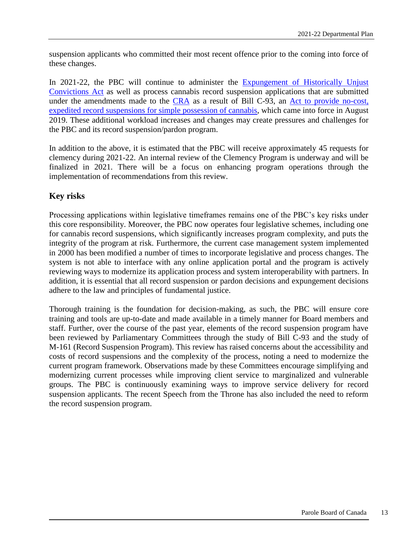suspension applicants who committed their most recent offence prior to the coming into force of these changes.

In 2021-22, the PBC will continue to administer the **Expungement of Historically Unjust** [Convictions Act](https://laws-lois.justice.gc.ca/eng/acts/E-21.5/page-1.html) as well as process cannabis record suspension applications that are submitted under the amendments made to the [CRA](https://laws-lois.justice.gc.ca/eng/acts/C-47/page-1.html) as a result of Bill C-93, an Act to provide no-cost, [expedited record suspensions for simple possession of cannabis,](https://laws-lois.justice.gc.ca/eng/annualstatutes/2019_20/page-1.html) which came into force in August 2019. These additional workload increases and changes may create pressures and challenges for the PBC and its record suspension/pardon program.

In addition to the above, it is estimated that the PBC will receive approximately 45 requests for clemency during 2021-22. An internal review of the Clemency Program is underway and will be finalized in 2021. There will be a focus on enhancing program operations through the implementation of recommendations from this review.

### **Key risks**

Processing applications within legislative timeframes remains one of the PBC's key risks under this core responsibility. Moreover, the PBC now operates four legislative schemes, including one for cannabis record suspensions, which significantly increases program complexity, and puts the integrity of the program at risk. Furthermore, the current case management system implemented in 2000 has been modified a number of times to incorporate legislative and process changes. The system is not able to interface with any online application portal and the program is actively reviewing ways to modernize its application process and system interoperability with partners. In addition, it is essential that all record suspension or pardon decisions and expungement decisions adhere to the law and principles of fundamental justice.

Thorough training is the foundation for decision-making, as such, the PBC will ensure core training and tools are up-to-date and made available in a timely manner for Board members and staff. Further, over the course of the past year, elements of the record suspension program have been reviewed by Parliamentary Committees through the study of Bill C-93 and the study of M-161 (Record Suspension Program). This review has raised concerns about the accessibility and costs of record suspensions and the complexity of the process, noting a need to modernize the current program framework. Observations made by these Committees encourage simplifying and modernizing current processes while improving client service to marginalized and vulnerable groups. The PBC is continuously examining ways to improve service delivery for record suspension applicants. The recent Speech from the Throne has also included the need to reform the record suspension program.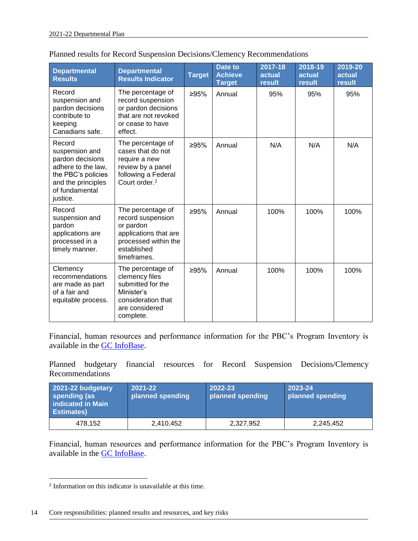| <b>Departmental</b><br><b>Results</b>                                                                                                        | <b>Departmental</b><br><b>Results Indicator</b>                                                                                    | <b>Target</b> | Date to<br><b>Achieve</b><br><b>Target</b> | 2017-18<br>actual<br>result | 2018-19<br>actual<br>result | 2019-20<br>actual<br>result |
|----------------------------------------------------------------------------------------------------------------------------------------------|------------------------------------------------------------------------------------------------------------------------------------|---------------|--------------------------------------------|-----------------------------|-----------------------------|-----------------------------|
| Record<br>suspension and<br>pardon decisions<br>contribute to<br>keeping<br>Canadians safe.                                                  | The percentage of<br>record suspension<br>or pardon decisions<br>that are not revoked<br>or cease to have<br>effect.               | ≥95%          | Annual                                     | 95%                         | 95%                         | 95%                         |
| Record<br>suspension and<br>pardon decisions<br>adhere to the law,<br>the PBC's policies<br>and the principles<br>of fundamental<br>justice. | The percentage of<br>cases that do not<br>require a new<br>review by a panel<br>following a Federal<br>Court order. <sup>2</sup>   | ≥95%          | Annual                                     | N/A                         | N/A                         | N/A                         |
| Record<br>suspension and<br>pardon<br>applications are<br>processed in a<br>timely manner.                                                   | The percentage of<br>record suspension<br>or pardon<br>applications that are<br>processed within the<br>established<br>timeframes. | ≥95%          | Annual                                     | 100%                        | 100%                        | 100%                        |
| Clemency<br>recommendations<br>are made as part<br>of a fair and<br>equitable process.                                                       | The percentage of<br>clemency files<br>submitted for the<br>Minister's<br>consideration that<br>are considered<br>complete.        | ≥95%          | Annual                                     | 100%                        | 100%                        | 100%                        |

|  |  | Planned results for Record Suspension Decisions/Clemency Recommendations |  |
|--|--|--------------------------------------------------------------------------|--|
|  |  |                                                                          |  |

Financial, human resources and performance information for the PBC's Program Inventory is available in the [GC InfoBase.](https://www.tbs-sct.gc.ca/ems-sgd/edb-bdd/index-eng.html#start)

Planned budgetary financial resources for Record Suspension Decisions/Clemency Recommendations

| 2021-22 budgetary<br>spending (as<br>indicated in Main<br><b>Estimates</b> ) | 2021-22<br>planned spending | 2022-23<br>planned spending | 2023-24<br>planned spending |
|------------------------------------------------------------------------------|-----------------------------|-----------------------------|-----------------------------|
| 478,152                                                                      | 2,410,452                   | 2,327,952                   | 2,245,452                   |

Financial, human resources and performance information for the PBC's Program Inventory is available in the [GC InfoBase.](https://www.tbs-sct.gc.ca/ems-sgd/edb-bdd/index-eng.html#start)

 2 Information on this indicator is unavailable at this time.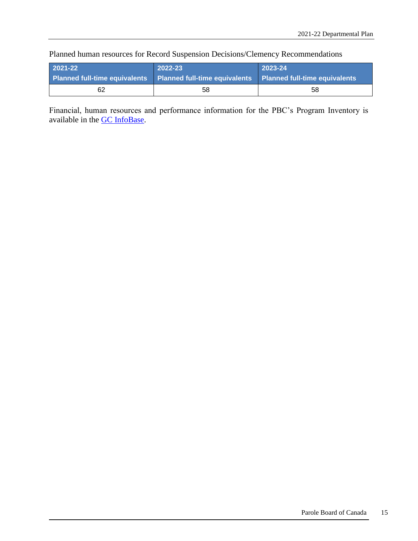Planned human resources for Record Suspension Decisions/Clemency Recommendations

| $2021 - 22$                                                                               | 2022-23 | 2023-24 |
|-------------------------------------------------------------------------------------------|---------|---------|
| Planned full-time equivalents Planned full-time equivalents Planned full-time equivalents |         |         |
| 62                                                                                        | 58      | 58      |

Financial, human resources and performance information for the PBC's Program Inventory is available in the [GC InfoBase.](https://www.tbs-sct.gc.ca/ems-sgd/edb-bdd/index-eng.html#start)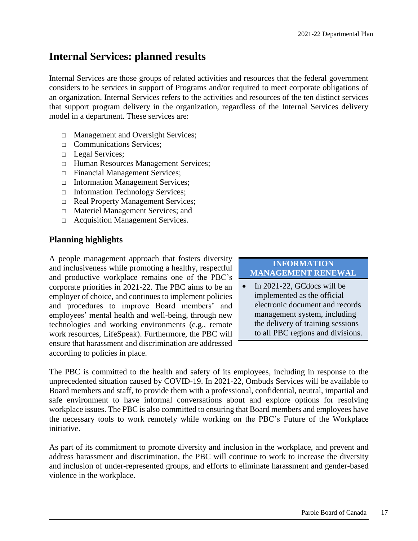# <span id="page-20-0"></span>**Internal Services: planned results**

Internal Services are those groups of related activities and resources that the federal government considers to be services in support of Programs and/or required to meet corporate obligations of an organization. Internal Services refers to the activities and resources of the ten distinct services that support program delivery in the organization, regardless of the Internal Services delivery model in a department. These services are:

- □ Management and Oversight Services;
- □ Communications Services:
- □ Legal Services;
- □ Human Resources Management Services;
- □ Financial Management Services;
- □ Information Management Services;
- □ Information Technology Services;
- □ Real Property Management Services;
- □ Materiel Management Services; and
- □ Acquisition Management Services.

#### **Planning highlights**

A people management approach that fosters diversity and inclusiveness while promoting a healthy, respectful and productive workplace remains one of the PBC's corporate priorities in 2021-22. The PBC aims to be an employer of choice, and continues to implement policies and procedures to improve Board members' and employees' mental health and well-being, through new technologies and working environments (e.g., remote work resources, LifeSpeak). Furthermore, the PBC will ensure that harassment and discrimination are addressed according to policies in place.

**INFORMATION MANAGEMENT RENEWAL**

• In 2021-22, GCdocs will be implemented as the official electronic document and records management system, including the delivery of training sessions to all PBC regions and divisions.

The PBC is committed to the health and safety of its employees, including in response to the unprecedented situation caused by COVID-19. In 2021-22, Ombuds Services will be available to Board members and staff, to provide them with a professional, confidential, neutral, impartial and safe environment to have informal conversations about and explore options for resolving workplace issues. The PBC is also committed to ensuring that Board members and employees have the necessary tools to work remotely while working on the PBC's Future of the Workplace initiative.

As part of its commitment to promote diversity and inclusion in the workplace, and prevent and address harassment and discrimination, the PBC will continue to work to increase the diversity and inclusion of under-represented groups, and efforts to eliminate harassment and gender-based violence in the workplace.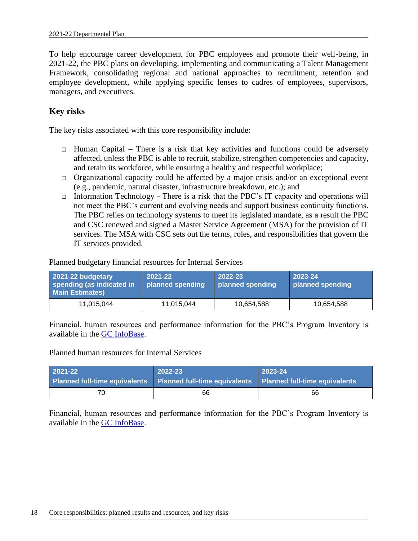To help encourage career development for PBC employees and promote their well-being, in 2021-22, the PBC plans on developing, implementing and communicating a Talent Management Framework, consolidating regional and national approaches to recruitment, retention and employee development, while applying specific lenses to cadres of employees, supervisors, managers, and executives.

### **Key risks**

The key risks associated with this core responsibility include:

- $\Box$  Human Capital There is a risk that key activities and functions could be adversely affected, unless the PBC is able to recruit, stabilize, strengthen competencies and capacity, and retain its workforce, while ensuring a healthy and respectful workplace;
- □ Organizational capacity could be affected by a major crisis and/or an exceptional event (e.g., pandemic, natural disaster, infrastructure breakdown, etc.); and
- $\Box$  Information Technology There is a risk that the PBC's IT capacity and operations will not meet the PBC's current and evolving needs and support business continuity functions. The PBC relies on technology systems to meet its legislated mandate, as a result the PBC and CSC renewed and signed a Master Service Agreement (MSA) for the provision of IT services. The MSA with CSC sets out the terms, roles, and responsibilities that govern the IT services provided.

Planned budgetary financial resources for Internal Services

| 2021-22 budgetary<br>spending (as indicated in<br><b>Main Estimates)</b> | 2021-22<br>planned spending | 2022-23<br>planned spending | $2023 - 24$<br>planned spending |
|--------------------------------------------------------------------------|-----------------------------|-----------------------------|---------------------------------|
| 11,015,044                                                               | 11,015,044                  | 10,654,588                  | 10,654,588                      |

Financial, human resources and performance information for the PBC's Program Inventory is available in the [GC InfoBase.](https://www.tbs-sct.gc.ca/ems-sgd/edb-bdd/index-eng.html#start)

#### Planned human resources for Internal Services

| 2021-22                                                                                   | 2022-23 | 2023-24 |
|-------------------------------------------------------------------------------------------|---------|---------|
| Planned full-time equivalents Planned full-time equivalents Planned full-time equivalents |         |         |
| 70                                                                                        | 66      | 66      |

Financial, human resources and performance information for the PBC's Program Inventory is available in the [GC InfoBase.](https://www.tbs-sct.gc.ca/ems-sgd/edb-bdd/index-eng.html#start)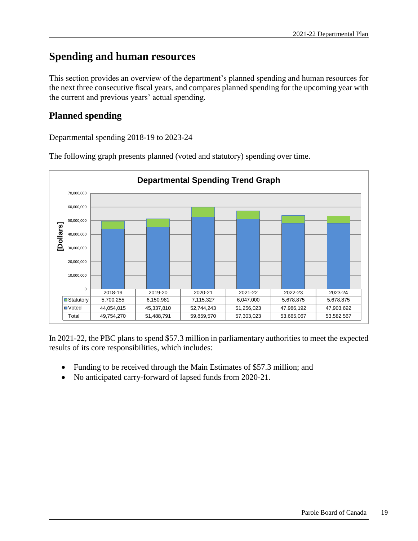# <span id="page-22-0"></span>**Spending and human resources**

This section provides an overview of the department's planned spending and human resources for the next three consecutive fiscal years, and compares planned spending for the upcoming year with the current and previous years' actual spending.

# <span id="page-22-1"></span>**Planned spending**

Departmental spending 2018-19 to 2023-24



The following graph presents planned (voted and statutory) spending over time.

In 2021-22, the PBC plans to spend \$57.3 million in parliamentary authorities to meet the expected results of its core responsibilities, which includes:

- Funding to be received through the Main Estimates of \$57.3 million; and
- No anticipated carry-forward of lapsed funds from 2020-21.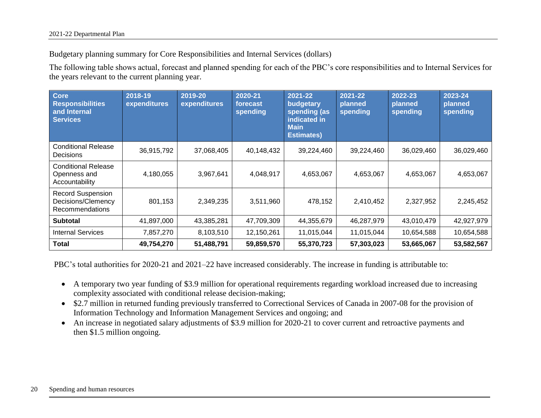Budgetary planning summary for Core Responsibilities and Internal Services (dollars)

The following table shows actual, forecast and planned spending for each of the PBC's core responsibilities and to Internal Services for the years relevant to the current planning year.

| Core<br><b>Responsibilities</b><br>and Internal<br><b>Services</b> | 2018-19<br>expenditures | 2019-20<br>expenditures | 2020-21<br>forecast<br>spending | 2021-22<br>budgetary<br>spending (as<br>indicated in<br><b>Main</b><br><b>Estimates)</b> | 2021-22<br>planned<br>spending | 2022-23<br>planned<br>spending | 2023-24<br>planned<br>spending |
|--------------------------------------------------------------------|-------------------------|-------------------------|---------------------------------|------------------------------------------------------------------------------------------|--------------------------------|--------------------------------|--------------------------------|
| <b>Conditional Release</b><br>Decisions                            | 36,915,792              | 37,068,405              | 40,148,432                      | 39,224,460                                                                               | 39,224,460                     | 36,029,460                     | 36,029,460                     |
| <b>Conditional Release</b><br>Openness and<br>Accountability       | 4,180,055               | 3,967,641               | 4,048,917                       | 4,653,067                                                                                | 4,653,067                      | 4,653,067                      | 4,653,067                      |
| <b>Record Suspension</b><br>Decisions/Clemency<br>Recommendations  | 801,153                 | 2,349,235               | 3,511,960                       | 478,152                                                                                  | 2,410,452                      | 2,327,952                      | 2,245,452                      |
| <b>Subtotal</b>                                                    | 41,897,000              | 43,385,281              | 47,709,309                      | 44,355,679                                                                               | 46,287,979                     | 43,010,479                     | 42,927,979                     |
| <b>Internal Services</b>                                           | 7,857,270               | 8,103,510               | 12,150,261                      | 11,015,044                                                                               | 11,015,044                     | 10,654,588                     | 10,654,588                     |
| Total                                                              | 49,754,270              | 51,488,791              | 59,859,570                      | 55,370,723                                                                               | 57,303,023                     | 53,665,067                     | 53,582,567                     |

PBC's total authorities for 2020-21 and 2021–22 have increased considerably. The increase in funding is attributable to:

- A temporary two year funding of \$3.9 million for operational requirements regarding workload increased due to increasing complexity associated with conditional release decision-making;
- \$2.7 million in returned funding previously transferred to Correctional Services of Canada in 2007-08 for the provision of Information Technology and Information Management Services and ongoing; and
- An increase in negotiated salary adjustments of \$3.9 million for 2020-21 to cover current and retroactive payments and then \$1.5 million ongoing.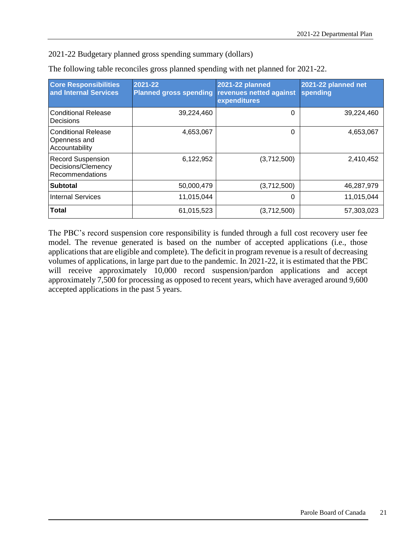2021-22 Budgetary planned gross spending summary (dollars)

| <b>Core Responsibilities</b><br>and Internal Services             | 2021-22<br><b>Planned gross spending</b> | <b>2021-22 planned</b><br>revenues netted against<br>expenditures | 2021-22 planned net<br>spending |
|-------------------------------------------------------------------|------------------------------------------|-------------------------------------------------------------------|---------------------------------|
| <b>Conditional Release</b><br>Decisions                           | 39,224,460                               | $\Omega$                                                          | 39,224,460                      |
| <b>Conditional Release</b><br>Openness and<br>Accountability      | 4,653,067                                | $\Omega$                                                          | 4,653,067                       |
| <b>Record Suspension</b><br>Decisions/Clemency<br>Recommendations | 6,122,952                                | (3,712,500)                                                       | 2,410,452                       |
| <b>Subtotal</b>                                                   | 50,000,479                               | (3,712,500)                                                       | 46,287,979                      |
| <b>Internal Services</b>                                          | 11,015,044                               | 0                                                                 | 11,015,044                      |
| <b>Total</b>                                                      | 61,015,523                               | (3,712,500)                                                       | 57,303,023                      |

The following table reconciles gross planned spending with net planned for 2021-22.

The PBC's record suspension core responsibility is funded through a full cost recovery user fee model. The revenue generated is based on the number of accepted applications (i.e., those applications that are eligible and complete). The deficit in program revenue is a result of decreasing volumes of applications, in large part due to the pandemic. In 2021-22, it is estimated that the PBC will receive approximately 10,000 record suspension/pardon applications and accept approximately 7,500 for processing as opposed to recent years, which have averaged around 9,600 accepted applications in the past 5 years.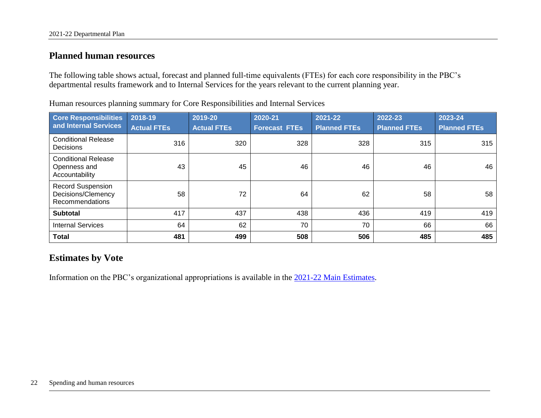## **Planned human resources**

The following table shows actual, forecast and planned full-time equivalents (FTEs) for each core responsibility in the PBC's departmental results framework and to Internal Services for the years relevant to the current planning year.

<span id="page-25-0"></span>

| <b>Core Responsibilities</b><br>and Internal Services             | 2018-19<br><b>Actual FTEs</b> | 2019-20<br><b>Actual FTEs</b> | 2020-21<br><b>Forecast FTEs</b> | 2021-22<br><b>Planned FTEs</b> | 2022-23<br><b>Planned FTEs</b> | 2023-24<br><b>Planned FTEs</b> |
|-------------------------------------------------------------------|-------------------------------|-------------------------------|---------------------------------|--------------------------------|--------------------------------|--------------------------------|
| <b>Conditional Release</b><br>Decisions                           | 316                           | 320                           | 328                             | 328                            | 315                            | 315                            |
| <b>Conditional Release</b><br>Openness and<br>Accountability      | 43                            | 45                            | 46                              | 46                             | 46                             | 46                             |
| <b>Record Suspension</b><br>Decisions/Clemency<br>Recommendations | 58                            | 72                            | 64                              | 62                             | 58                             | 58                             |
| <b>Subtotal</b>                                                   | 417                           | 437                           | 438                             | 436                            | 419                            | 419                            |
| <b>Internal Services</b>                                          | 64                            | 62                            | 70                              | 70                             | 66                             | 66                             |
| <b>Total</b>                                                      | 481                           | 499                           | 508                             | 506                            | 485                            | 485                            |

Human resources planning summary for Core Responsibilities and Internal Services

# **Estimates by Vote**

<span id="page-25-1"></span>Information on the PBC's organizational appropriations is available in the 2021-22 [Main Estimates.](http://www.tbs-sct.gc.ca/hgw-cgf/finances/pgs-pdg/gepme-pdgbpd/index-eng.asp)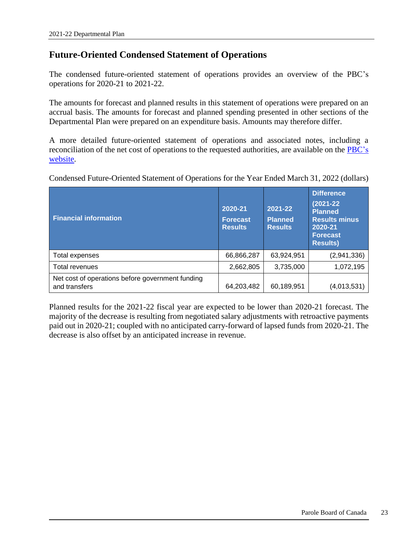### <span id="page-26-0"></span>**Future-Oriented Condensed Statement of Operations**

The condensed future-oriented statement of operations provides an overview of the PBC's operations for 2020-21 to 2021-22.

The amounts for forecast and planned results in this statement of operations were prepared on an accrual basis. The amounts for forecast and planned spending presented in other sections of the Departmental Plan were prepared on an expenditure basis. Amounts may therefore differ.

A more detailed future-oriented statement of operations and associated notes, including a reconciliation of the net cost of operations to the requested authorities, are available on the [PBC's](https://www.canada.ca/en/parole-board/corporate/transparency/reporting-to-canadians.html)  [website.](https://www.canada.ca/en/parole-board/corporate/transparency/reporting-to-canadians.html)

Condensed Future-Oriented Statement of Operations for the Year Ended March 31, 2022 (dollars)

| <b>Financial information</b>                                      | 2020-21<br><b>Forecast</b><br><b>Results</b> | 2021-22<br><b>Planned</b><br><b>Results</b> | <b>Difference</b><br>$(2021 - 22)$<br><b>Planned</b><br><b>Results minus</b><br>2020-21<br><b>Forecast</b><br><b>Results)</b> |
|-------------------------------------------------------------------|----------------------------------------------|---------------------------------------------|-------------------------------------------------------------------------------------------------------------------------------|
| Total expenses                                                    | 66,866,287                                   | 63,924,951                                  | (2,941,336)                                                                                                                   |
| Total revenues                                                    | 2,662,805                                    | 3,735,000                                   | 1,072,195                                                                                                                     |
| Net cost of operations before government funding<br>and transfers | 64,203,482                                   | 60,189,951                                  | (4,013,531)                                                                                                                   |

Planned results for the 2021-22 fiscal year are expected to be lower than 2020-21 forecast. The majority of the decrease is resulting from negotiated salary adjustments with retroactive payments paid out in 2020-21; coupled with no anticipated carry-forward of lapsed funds from 2020-21. The decrease is also offset by an anticipated increase in revenue.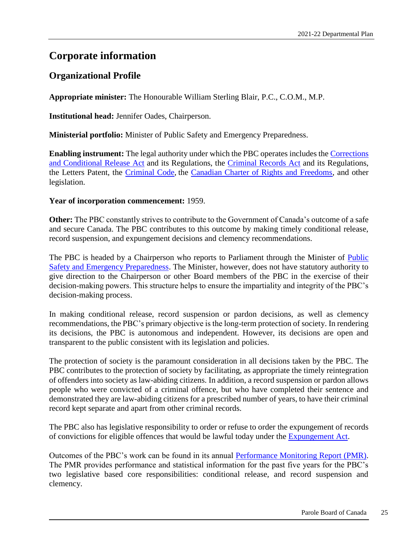# <span id="page-28-0"></span>**Corporate information**

# <span id="page-28-1"></span>**Organizational Profile**

**Appropriate minister:** The Honourable William Sterling Blair, P.C., C.O.M., M.P.

**Institutional head:** Jennifer Oades, Chairperson.

**Ministerial portfolio:** Minister of Public Safety and Emergency Preparedness.

**Enabling instrument:** The legal authority under which the PBC operates includes the [Corrections](http://laws-lois.justice.gc.ca/eng/acts/C-44.6/page-1.html)  [and Conditional Release Ac](http://laws-lois.justice.gc.ca/eng/acts/C-44.6/page-1.html)t and its Regulations, the [Criminal Records Ac](http://laws-lois.justice.gc.ca/eng/acts/C-47/page-1.html)t and its Regulations, the Letters Patent, the [Criminal Code,](http://laws-lois.justice.gc.ca/eng/acts/C-46/page-1.html) the [Canadian Charter of Rights and Freedoms,](http://laws-lois.justice.gc.ca/eng/const/page-15.html) and other legislation.

#### **Year of incorporation commencement:** 1959.

**Other:** The PBC constantly strives to contribute to the Government of Canada's outcome of a safe and secure Canada. The PBC contributes to this outcome by making timely conditional release, record suspension, and expungement decisions and clemency recommendations.

The PBC is headed by a Chairperson who reports to Parliament through the Minister of Public [Safety and Emergency Preparedness.](http://www.publicsafety.gc.ca/index-eng.aspx) The Minister, however, does not have statutory authority to give direction to the Chairperson or other Board members of the PBC in the exercise of their decision-making powers. This structure helps to ensure the impartiality and integrity of the PBC's decision-making process.

In making conditional release, record suspension or pardon decisions, as well as clemency recommendations, the PBC's primary objective is the long-term protection of society. In rendering its decisions, the PBC is autonomous and independent. However, its decisions are open and transparent to the public consistent with its legislation and policies.

The protection of society is the paramount consideration in all decisions taken by the PBC. The PBC contributes to the protection of society by facilitating, as appropriate the timely reintegration of offenders into society as law-abiding citizens. In addition, a record suspension or pardon allows people who were convicted of a criminal offence, but who have completed their sentence and demonstrated they are law-abiding citizens for a prescribed number of years, to have their criminal record kept separate and apart from other criminal records.

The PBC also has legislative responsibility to order or refuse to order the expungement of records of convictions for eligible offences that would be lawful today under the [Expungement Act.](https://laws-lois.justice.gc.ca/eng/acts/E-21.5/page-1.html)

Outcomes of the PBC's work can be found in its annual [Performance Monitoring Report \(PMR\).](https://www.canada.ca/en/parole-board/corporate/transparency/reporting-to-canadians.html) The PMR provides performance and statistical information for the past five years for the PBC's two legislative based core responsibilities: conditional release, and record suspension and clemency.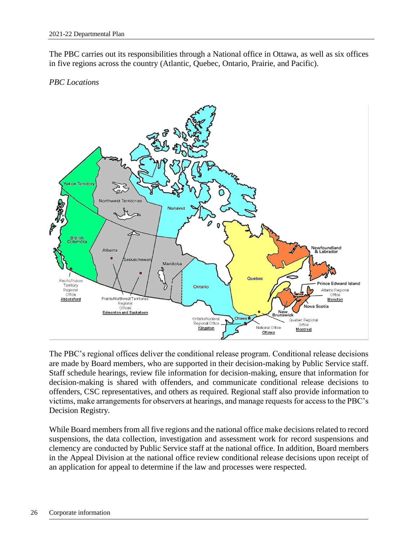The PBC carries out its responsibilities through a National office in Ottawa, as well as six offices in five regions across the country (Atlantic, Quebec, Ontario, Prairie, and Pacific).

#### *PBC Locations*



The PBC's regional offices deliver the conditional release program. Conditional release decisions are made by Board members, who are supported in their decision-making by Public Service staff. Staff schedule hearings, review file information for decision-making, ensure that information for decision-making is shared with offenders, and communicate conditional release decisions to offenders, CSC representatives, and others as required. Regional staff also provide information to victims, make arrangements for observers at hearings, and manage requests for access to the PBC's Decision Registry.

While Board members from all five regions and the national office make decisions related to record suspensions, the data collection, investigation and assessment work for record suspensions and clemency are conducted by Public Service staff at the national office. In addition, Board members in the Appeal Division at the national office review conditional release decisions upon receipt of an application for appeal to determine if the law and processes were respected.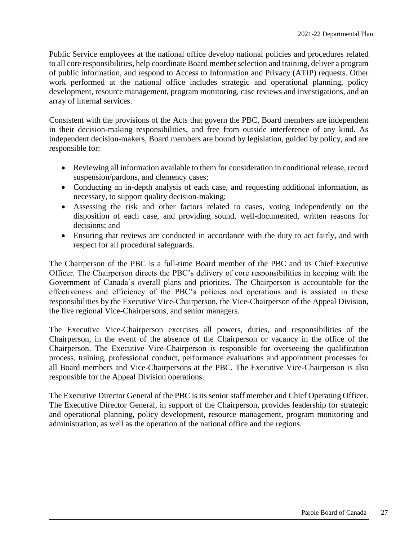Public Service employees at the national office develop national policies and procedures related to all core responsibilities, help coordinate Board member selection and training, deliver a program of public information, and respond to Access to Information and Privacy (ATIP) requests. Other work performed at the national office includes strategic and operational planning, policy development, resource management, program monitoring, case reviews and investigations, and an array of internal services.

Consistent with the provisions of the Acts that govern the PBC, Board members are independent in their decision-making responsibilities, and free from outside interference of any kind. As independent decision-makers, Board members are bound by legislation, guided by policy, and are responsible for:

- Reviewing all information available to them for consideration in conditional release, record suspension/pardons, and clemency cases;
- Conducting an in-depth analysis of each case, and requesting additional information, as necessary, to support quality decision-making;
- Assessing the risk and other factors related to cases, voting independently on the disposition of each case, and providing sound, well-documented, written reasons for decisions; and
- Ensuring that reviews are conducted in accordance with the duty to act fairly, and with respect for all procedural safeguards.

The Chairperson of the PBC is a full-time Board member of the PBC and its Chief Executive Officer. The Chairperson directs the PBC's delivery of core responsibilities in keeping with the Government of Canada's overall plans and priorities. The Chairperson is accountable for the effectiveness and efficiency of the PBC's policies and operations and is assisted in these responsibilities by the Executive Vice-Chairperson, the Vice-Chairperson of the Appeal Division, the five regional Vice-Chairpersons, and senior managers.

The Executive Vice-Chairperson exercises all powers, duties, and responsibilities of the Chairperson, in the event of the absence of the Chairperson or vacancy in the office of the Chairperson. The Executive Vice-Chairperson is responsible for overseeing the qualification process, training, professional conduct, performance evaluations and appointment processes for all Board members and Vice-Chairpersons at the PBC. The Executive Vice-Chairperson is also responsible for the Appeal Division operations.

The Executive Director General of the PBC is its senior staff member and Chief Operating Officer. The Executive Director General, in support of the Chairperson, provides leadership for strategic and operational planning, policy development, resource management, program monitoring and administration, as well as the operation of the national office and the regions.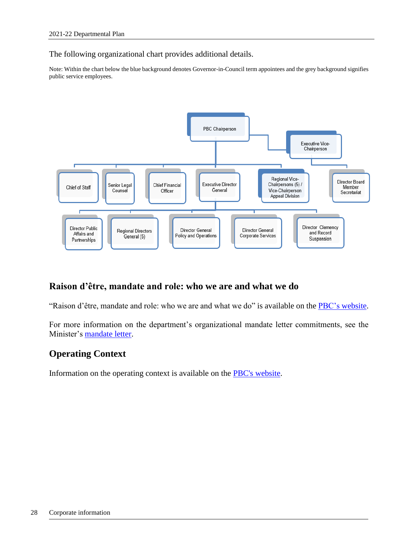The following organizational chart provides additional details.

Note: Within the chart below the blue background denotes Governor-in-Council term appointees and the grey background signifies public service employees.



# <span id="page-31-0"></span>**Raison d'être, mandate and role: who we are and what we do**

"Raison d'être, mandate and role: who we are and what we do" is available on the [PBC's](https://www.canada.ca/en/parole-board/corporate/mandate-and-role.html) website.

For more information on the department's organizational mandate letter commitments, see the Minister's [mandate letter.](https://pm.gc.ca/eng/minister-public-safety-and-emergency-preparedness-mandate-letter)

### <span id="page-31-1"></span>**Operating Context**

Information on the operating context is available on the [PBC's website.](https://www.canada.ca/en/parole-board/corporate/mandate-and-role.html)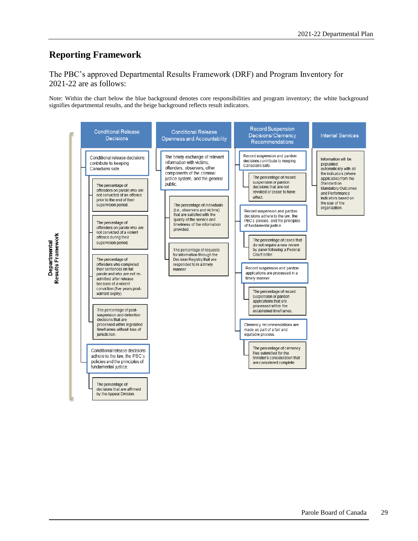### <span id="page-32-0"></span>**Reporting Framework**

#### The PBC's approved Departmental Results Framework (DRF) and Program Inventory for 2021-22 are as follows:

Note: Within the chart below the blue background denotes core responsibilities and program inventory; the white background signifies departmental results, and the beige background reflects result indicators.

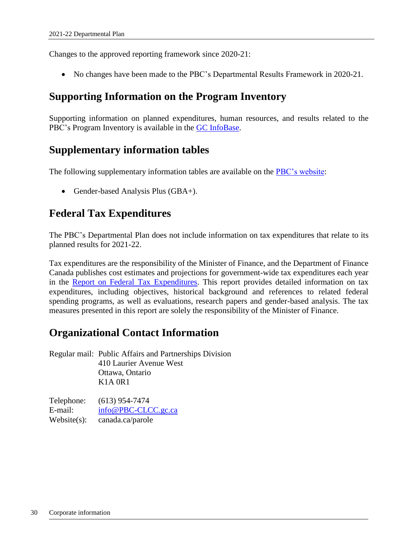Changes to the approved reporting framework since 2020-21:

No changes have been made to the PBC's Departmental Results Framework in 2020-21.

# <span id="page-33-0"></span>**Supporting Information on the Program Inventory**

Supporting information on planned expenditures, human resources, and results related to the PBC's Program Inventory is available in the [GC InfoBase.](https://www.tbs-sct.gc.ca/ems-sgd/edb-bdd/index-eng.html#start)

# <span id="page-33-1"></span>**Supplementary information tables**

The following supplementary information tables are available on the [PBC's website:](https://canada-preview.adobecqms.net/en/parole-board/corporate/transparency/reporting-to-canadians/report-on-plans-and-priorities/2020-2021/supplementary-information.html)

• Gender-based Analysis Plus (GBA+).

# <span id="page-33-2"></span>**Federal Tax Expenditures**

The PBC's Departmental Plan does not include information on tax expenditures that relate to its planned results for 2021-22.

Tax expenditures are the responsibility of the Minister of Finance, and the Department of Finance Canada publishes cost estimates and projections for government-wide tax expenditures each year in the [Report on Federal Tax Expenditures.](https://www.canada.ca/en/department-finance/services/publications/federal-tax-expenditures/2020/part-1.html) This report provides detailed information on tax expenditures, including objectives, historical background and references to related federal spending programs, as well as evaluations, research papers and gender-based analysis. The tax measures presented in this report are solely the responsibility of the Minister of Finance.

# <span id="page-33-3"></span>**Organizational Contact Information**

Regular mail: Public Affairs and Partnerships Division 410 Laurier Avenue West Ottawa, Ontario K1A 0R1

Telephone: (613) 954-7474 E-mail: [info@PBC-CLCC.gc.ca](mailto:info@PBC-CLCC.gc.ca) Website(s): [canada.ca/parole](file:///C:/Users/mcdermottjo/AppData/Local/Microsoft/Windows/INetCache/Content.Outlook/COKYBZY9/canada.ca/parole)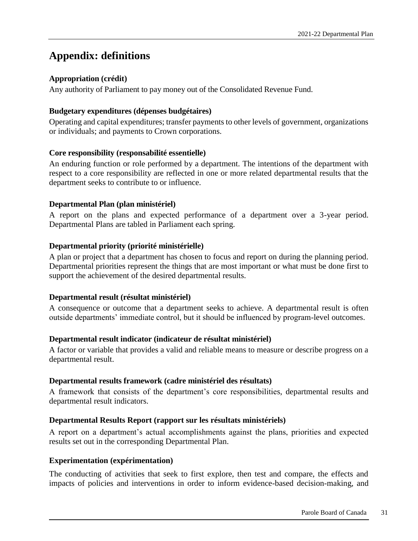# <span id="page-34-0"></span>**Appendix: definitions**

#### **Appropriation (crédit)**

Any authority of Parliament to pay money out of the Consolidated Revenue Fund.

#### **Budgetary expenditures (dépenses budgétaires)**

Operating and capital expenditures; transfer payments to other levels of government, organizations or individuals; and payments to Crown corporations.

#### **Core responsibility (responsabilité essentielle)**

An enduring function or role performed by a department. The intentions of the department with respect to a core responsibility are reflected in one or more related departmental results that the department seeks to contribute to or influence.

#### **Departmental Plan (plan ministériel)**

A report on the plans and expected performance of a department over a 3-year period. Departmental Plans are tabled in Parliament each spring.

#### **Departmental priority (priorité ministérielle)**

A plan or project that a department has chosen to focus and report on during the planning period. Departmental priorities represent the things that are most important or what must be done first to support the achievement of the desired departmental results.

#### **Departmental result (résultat ministériel)**

A consequence or outcome that a department seeks to achieve. A departmental result is often outside departments' immediate control, but it should be influenced by program-level outcomes.

#### **Departmental result indicator (indicateur de résultat ministériel)**

A factor or variable that provides a valid and reliable means to measure or describe progress on a departmental result.

#### **Departmental results framework (cadre ministériel des résultats)**

A framework that consists of the department's core responsibilities, departmental results and departmental result indicators.

#### **Departmental Results Report (rapport sur les résultats ministériels)**

A report on a department's actual accomplishments against the plans, priorities and expected results set out in the corresponding Departmental Plan.

#### **Experimentation (expérimentation)**

The conducting of activities that seek to first explore, then test and compare, the effects and impacts of policies and interventions in order to inform evidence-based decision-making, and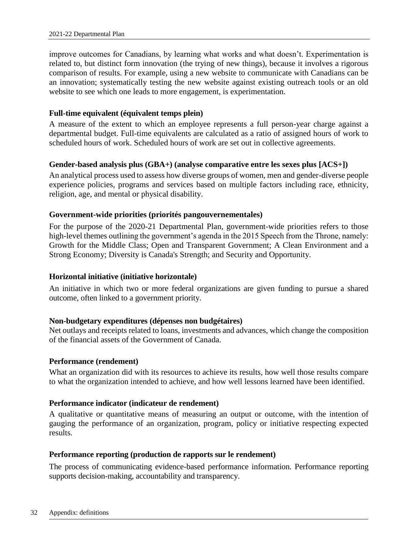improve outcomes for Canadians, by learning what works and what doesn't. Experimentation is related to, but distinct form innovation (the trying of new things), because it involves a rigorous comparison of results. For example, using a new website to communicate with Canadians can be an innovation; systematically testing the new website against existing outreach tools or an old website to see which one leads to more engagement, is experimentation.

#### **Full-time equivalent (équivalent temps plein)**

A measure of the extent to which an employee represents a full person-year charge against a departmental budget. Full-time equivalents are calculated as a ratio of assigned hours of work to scheduled hours of work. Scheduled hours of work are set out in collective agreements.

#### **Gender-based analysis plus (GBA+) (analyse comparative entre les sexes plus [ACS+])**

An analytical process used to assess how diverse groups of women, men and gender-diverse people experience policies, programs and services based on multiple factors including race, ethnicity, religion, age, and mental or physical disability.

#### **Government-wide priorities (priorités pangouvernementales)**

For the purpose of the 2020-21 Departmental Plan, government-wide priorities refers to those high-level themes outlining the government's agenda in the 2015 Speech from the Throne, namely: Growth for the Middle Class; Open and Transparent Government; A Clean Environment and a Strong Economy; Diversity is Canada's Strength; and Security and Opportunity.

#### **Horizontal initiative (initiative horizontale)**

An initiative in which two or more federal organizations are given funding to pursue a shared outcome, often linked to a government priority.

#### **Non-budgetary expenditures (dépenses non budgétaires)**

Net outlays and receipts related to loans, investments and advances, which change the composition of the financial assets of the Government of Canada.

#### **Performance (rendement)**

What an organization did with its resources to achieve its results, how well those results compare to what the organization intended to achieve, and how well lessons learned have been identified.

#### **Performance indicator (indicateur de rendement)**

A qualitative or quantitative means of measuring an output or outcome, with the intention of gauging the performance of an organization, program, policy or initiative respecting expected results.

#### **Performance reporting (production de rapports sur le rendement)**

The process of communicating evidence-based performance information. Performance reporting supports decision-making, accountability and transparency.